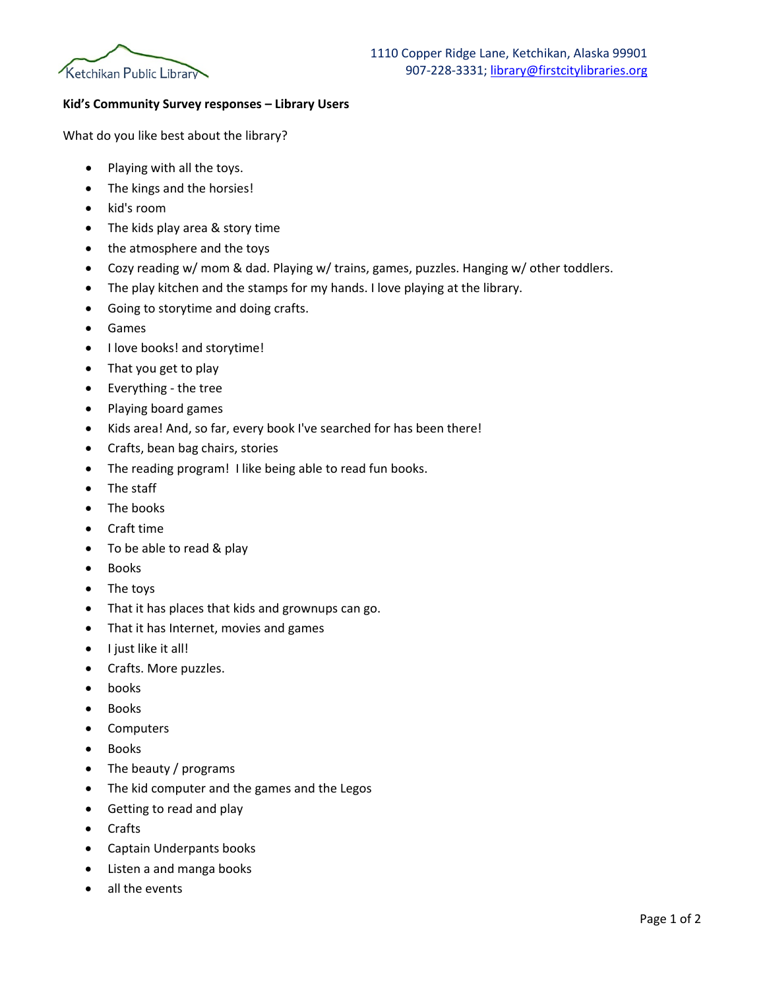

## **Kid's Community Survey responses – Library Users**

What do you like best about the library?

- Playing with all the toys.
- The kings and the horsies!
- kid's room
- The kids play area & story time
- the atmosphere and the toys
- Cozy reading w/ mom & dad. Playing w/ trains, games, puzzles. Hanging w/ other toddlers.
- The play kitchen and the stamps for my hands. I love playing at the library.
- Going to storytime and doing crafts.
- Games
- I love books! and storytime!
- That you get to play
- Everything the tree
- Playing board games
- Kids area! And, so far, every book I've searched for has been there!
- Crafts, bean bag chairs, stories
- The reading program! I like being able to read fun books.
- The staff
- The books
- Craft time
- To be able to read & play
- Books
- The toys
- That it has places that kids and grownups can go.
- That it has Internet, movies and games
- I just like it all!
- Crafts. More puzzles.
- books
- **Books**
- Computers
- Books
- The beauty / programs
- The kid computer and the games and the Legos
- Getting to read and play
- Crafts
- Captain Underpants books
- Listen a and manga books
- all the events